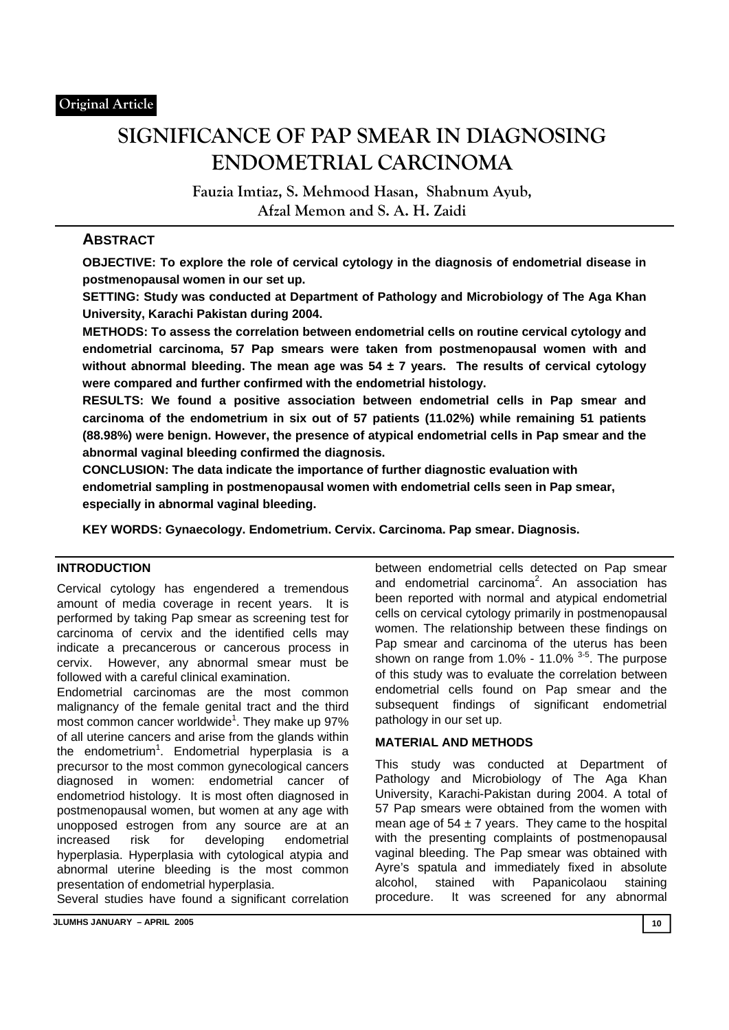# **SIGNIFICANCE OF PAP SMEAR IN DIAGNOSING ENDOMETRIAL CARCINOMA**

**Fauzia Imtiaz, S. Mehmood Hasan, Shabnum Ayub, Afzal Memon and S. A. H. Zaidi** 

# **ABSTRACT**

**OBJECTIVE: To explore the role of cervical cytology in the diagnosis of endometrial disease in postmenopausal women in our set up.** 

**SETTING: Study was conducted at Department of Pathology and Microbiology of The Aga Khan University, Karachi Pakistan during 2004.** 

**METHODS: To assess the correlation between endometrial cells on routine cervical cytology and endometrial carcinoma, 57 Pap smears were taken from postmenopausal women with and without abnormal bleeding. The mean age was 54 ± 7 years. The results of cervical cytology were compared and further confirmed with the endometrial histology.** 

**RESULTS: We found a positive association between endometrial cells in Pap smear and carcinoma of the endometrium in six out of 57 patients (11.02%) while remaining 51 patients (88.98%) were benign. However, the presence of atypical endometrial cells in Pap smear and the abnormal vaginal bleeding confirmed the diagnosis.** 

**CONCLUSION: The data indicate the importance of further diagnostic evaluation with endometrial sampling in postmenopausal women with endometrial cells seen in Pap smear, especially in abnormal vaginal bleeding.** 

**KEY WORDS: Gynaecology. Endometrium. Cervix. Carcinoma. Pap smear. Diagnosis.** 

## **INTRODUCTION**

Cervical cytology has engendered a tremendous amount of media coverage in recent years. It is performed by taking Pap smear as screening test for carcinoma of cervix and the identified cells may indicate a precancerous or cancerous process in cervix. However, any abnormal smear must be followed with a careful clinical examination.

Endometrial carcinomas are the most common malignancy of the female genital tract and the third most common cancer worldwide $1$ . They make up 97% of all uterine cancers and arise from the glands within the endometrium<sup>1</sup>. Endometrial hyperplasia is a precursor to the most common gynecological cancers diagnosed in women: endometrial cancer of endometriod histology. It is most often diagnosed in postmenopausal women, but women at any age with unopposed estrogen from any source are at an increased risk for developing endometrial hyperplasia. Hyperplasia with cytological atypia and abnormal uterine bleeding is the most common presentation of endometrial hyperplasia.

Several studies have found a significant correlation

and endometrial carcinoma<sup>2</sup>. An association has been reported with normal and atypical endometrial cells on cervical cytology primarily in postmenopausal women. The relationship between these findings on Pap smear and carcinoma of the uterus has been shown on range from  $1.0\%$  - 11.0%  $3-5$ . The purpose of this study was to evaluate the correlation between endometrial cells found on Pap smear and the subsequent findings of significant endometrial pathology in our set up.

between endometrial cells detected on Pap smear

## **MATERIAL AND METHODS**

This study was conducted at Department of Pathology and Microbiology of The Aga Khan University, Karachi-Pakistan during 2004. A total of 57 Pap smears were obtained from the women with mean age of  $54 \pm 7$  years. They came to the hospital with the presenting complaints of postmenopausal vaginal bleeding. The Pap smear was obtained with Ayre's spatula and immediately fixed in absolute alcohol, stained with Papanicolaou staining procedure. It was screened for any abnormal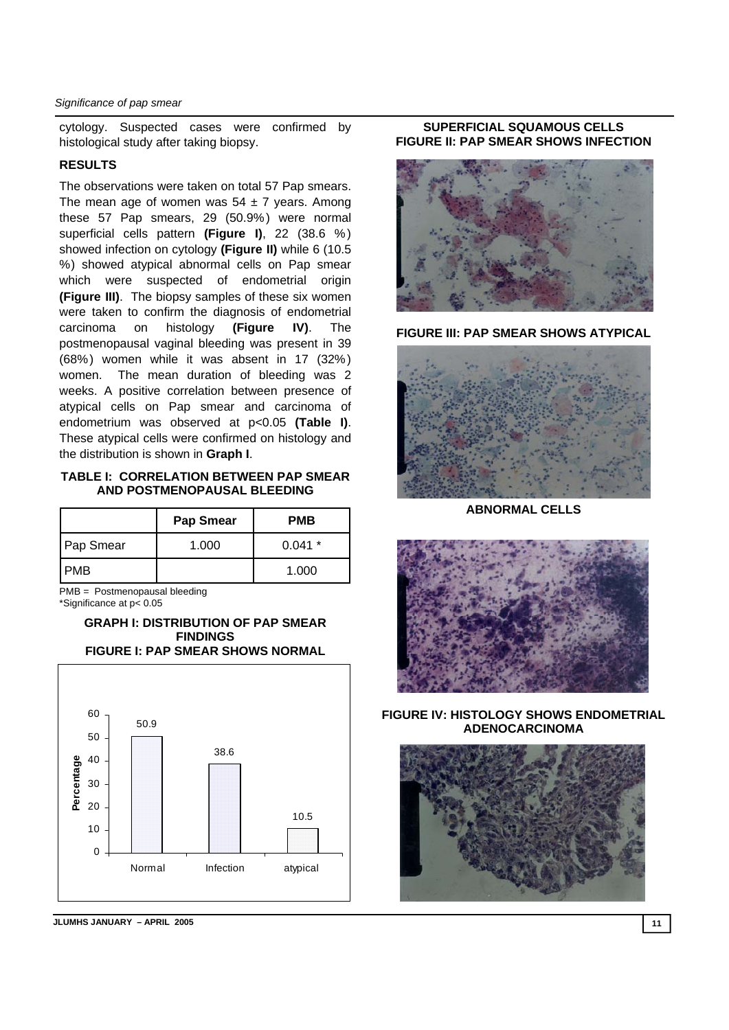cytology. Suspected cases were confirmed by histological study after taking biopsy.

#### **RESULTS**

The observations were taken on total 57 Pap smears. The mean age of women was  $54 \pm 7$  years. Among these 57 Pap smears, 29 (50.9%) were normal superficial cells pattern **(Figure I)**, 22 (38.6 % ) showed infection on cytology **(Figure II)** while 6 (10.5 %) showed atypical abnormal cells on Pap smear which were suspected of endometrial origin **(Figure III)**. The biopsy samples of these six women were taken to confirm the diagnosis of endometrial carcinoma on histology **(Figure IV)**. The postmenopausal vaginal bleeding was present in 39 (68%) women while it was absent in 17 (32%) women. The mean duration of bleeding was 2 weeks. A positive correlation between presence of atypical cells on Pap smear and carcinoma of endometrium was observed at p<0.05 **(Table I)**. These atypical cells were confirmed on histology and the distribution is shown in **Graph I**.

## **TABLE I: CORRELATION BETWEEN PAP SMEAR AND POSTMENOPAUSAL BLEEDING**

|                  | <b>Pap Smear</b> | <b>PMB</b> |
|------------------|------------------|------------|
| <b>Pap Smear</b> | 1.000            | $0.041*$   |
| I PMB            |                  | 1.000      |

PMB = Postmenopausal bleeding \*Significance at p< 0.05

#### **GRAPH I: DISTRIBUTION OF PAP SMEAR FINDINGS FIGURE I: PAP SMEAR SHOWS NORMAL**



**JLUMHS JANUARY – APRIL 2005** 11

#### **SUPERFICIAL SQUAMOUS CELLS FIGURE II: PAP SMEAR SHOWS INFECTION**



**FIGURE III: PAP SMEAR SHOWS ATYPICAL** 



**ABNORMAL CELLS** 



**FIGURE IV: HISTOLOGY SHOWS ENDOMETRIAL ADENOCARCINOMA** 

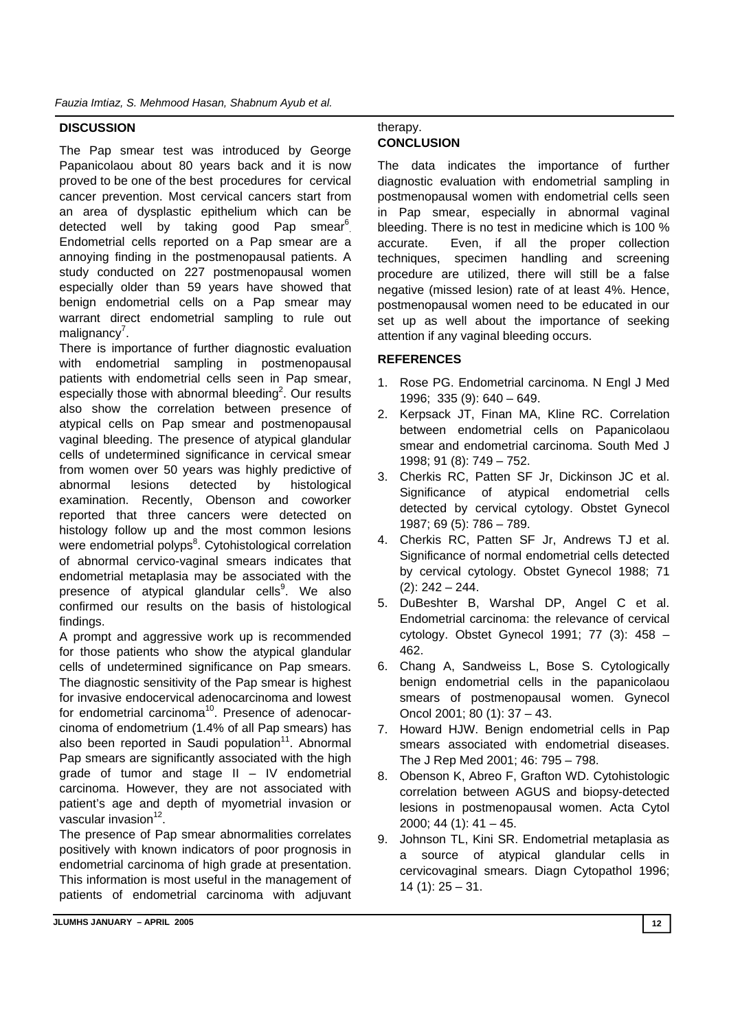## **DISCUSSION**

The Pap smear test was introduced by George Papanicolaou about 80 years back and it is now proved to be one of the best procedures for cervical cancer prevention. Most cervical cancers start from an area of dysplastic epithelium which can be detected well by taking good Pap smear<sup>6</sup>. Endometrial cells reported on a Pap smear are a annoying finding in the postmenopausal patients. A study conducted on 227 postmenopausal women especially older than 59 years have showed that benign endometrial cells on a Pap smear may warrant direct endometrial sampling to rule out malignancy<sup>7</sup>.

There is importance of further diagnostic evaluation with endometrial sampling in postmenopausal patients with endometrial cells seen in Pap smear, especially those with abnormal bleeding<sup>2</sup>. Our results also show the correlation between presence of atypical cells on Pap smear and postmenopausal vaginal bleeding. The presence of atypical glandular cells of undetermined significance in cervical smear from women over 50 years was highly predictive of abnormal lesions detected by histological examination. Recently, Obenson and coworker reported that three cancers were detected on histology follow up and the most common lesions were endometrial polyps<sup>8</sup>. Cytohistological correlation of abnormal cervico-vaginal smears indicates that endometrial metaplasia may be associated with the presence of atypical glandular cells<sup>9</sup>. We also confirmed our results on the basis of histological findings.

A prompt and aggressive work up is recommended for those patients who show the atypical glandular cells of undetermined significance on Pap smears. The diagnostic sensitivity of the Pap smear is highest for invasive endocervical adenocarcinoma and lowest for endometrial carcinoma<sup>10</sup>. Presence of adenocarcinoma of endometrium (1.4% of all Pap smears) has also been reported in Saudi population<sup>11</sup>. Abnormal Pap smears are significantly associated with the high grade of tumor and stage II – IV endometrial carcinoma. However, they are not associated with patient's age and depth of myometrial invasion or vascular invasion<sup>12</sup>

The presence of Pap smear abnormalities correlates positively with known indicators of poor prognosis in endometrial carcinoma of high grade at presentation. This information is most useful in the management of patients of endometrial carcinoma with adjuvant

## therapy. **CONCLUSION**

The data indicates the importance of further diagnostic evaluation with endometrial sampling in postmenopausal women with endometrial cells seen in Pap smear, especially in abnormal vaginal bleeding. There is no test in medicine which is 100 % accurate. Even, if all the proper collection techniques, specimen handling and screening procedure are utilized, there will still be a false negative (missed lesion) rate of at least 4%. Hence, postmenopausal women need to be educated in our set up as well about the importance of seeking attention if any vaginal bleeding occurs.

## **REFERENCES**

- 1. Rose PG. Endometrial carcinoma. N Engl J Med 1996; 335 (9): 640 – 649.
- 2. Kerpsack JT, Finan MA, Kline RC. Correlation between endometrial cells on Papanicolaou smear and endometrial carcinoma. South Med J 1998; 91 (8): 749 – 752.
- 3. Cherkis RC, Patten SF Jr, Dickinson JC et al. Significance of atypical endometrial cells detected by cervical cytology. Obstet Gynecol 1987; 69 (5): 786 – 789.
- 4. Cherkis RC, Patten SF Jr, Andrews TJ et al. Significance of normal endometrial cells detected by cervical cytology. Obstet Gynecol 1988; 71  $(2)$ : 242 – 244.
- 5. DuBeshter B, Warshal DP, Angel C et al. Endometrial carcinoma: the relevance of cervical cytology. Obstet Gynecol 1991; 77 (3): 458 – 462.
- 6. Chang A, Sandweiss L, Bose S. Cytologically benign endometrial cells in the papanicolaou smears of postmenopausal women. Gynecol Oncol 2001; 80 (1): 37 – 43.
- 7. Howard HJW. Benign endometrial cells in Pap smears associated with endometrial diseases. The J Rep Med 2001; 46: 795 – 798.
- 8. Obenson K, Abreo F, Grafton WD. Cytohistologic correlation between AGUS and biopsy-detected lesions in postmenopausal women. Acta Cytol 2000; 44 (1): 41 – 45.
- 9. Johnson TL, Kini SR. Endometrial metaplasia as a source of atypical glandular cells in cervicovaginal smears. Diagn Cytopathol 1996;  $14$  (1):  $25 - 31$ .